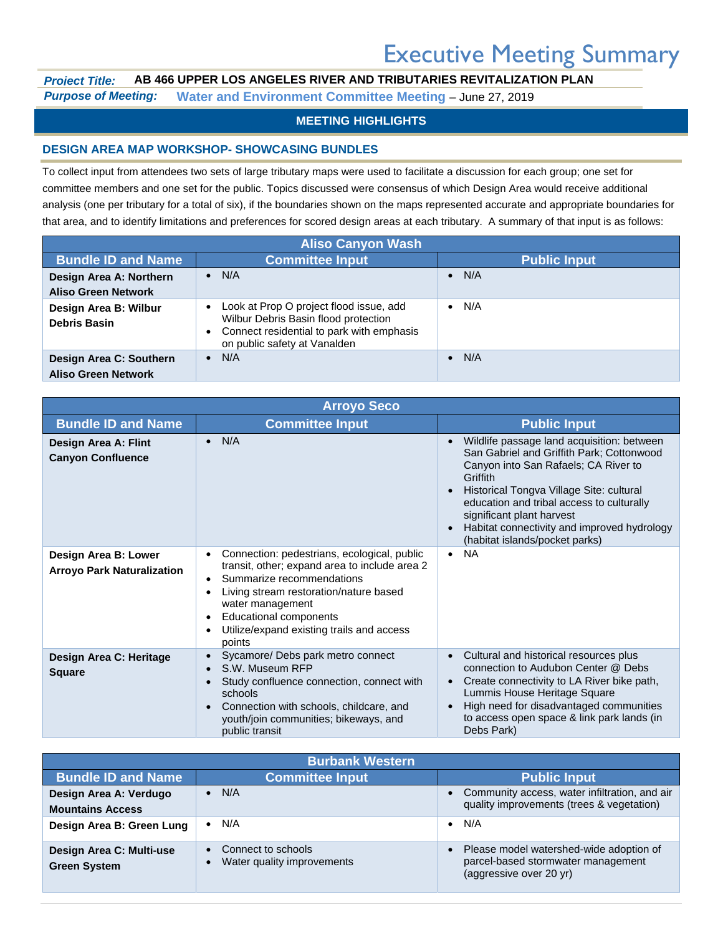# Executive Meeting Summary

## *Project Title:* **AB 466 UPPER LOS ANGELES RIVER AND TRIBUTARIES REVITALIZATION PLAN** *Purpose of Meeting:* **Water and Environment Committee Meeting** – June 27, 2019

### **MEETING HIGHLIGHTS**

#### **DESIGN AREA MAP WORKSHOP- SHOWCASING BUNDLES**

To collect input from attendees two sets of large tributary maps were used to facilitate a discussion for each group; one set for committee members and one set for the public. Topics discussed were consensus of which Design Area would receive additional analysis (one per tributary for a total of six), if the boundaries shown on the maps represented accurate and appropriate boundaries for that area, and to identify limitations and preferences for scored design areas at each tributary. A summary of that input is as follows:

| <b>Aliso Canyon Wash</b>                              |                                                                                                                                                                                        |                     |
|-------------------------------------------------------|----------------------------------------------------------------------------------------------------------------------------------------------------------------------------------------|---------------------|
| <b>Bundle ID and Name</b>                             | <b>Committee Input</b>                                                                                                                                                                 | <b>Public Input</b> |
| Design Area A: Northern                               | N/A<br>$\bullet$                                                                                                                                                                       | N/A                 |
| <b>Aliso Green Network</b>                            |                                                                                                                                                                                        |                     |
| Design Area B: Wilbur<br><b>Debris Basin</b>          | Look at Prop O project flood issue, add<br>$\bullet$<br>Wilbur Debris Basin flood protection<br>Connect residential to park with emphasis<br>$\bullet$<br>on public safety at Vanalden | N/A<br>$\bullet$    |
| Design Area C: Southern<br><b>Aliso Green Network</b> | N/A<br>$\bullet$                                                                                                                                                                       | N/A<br>$\bullet$    |

| <b>Arroyo Seco</b>                                        |                                                                                                                                                                                                                                                                                                                                                  |                                                                                                                                                                                                                                                                                                                                                    |
|-----------------------------------------------------------|--------------------------------------------------------------------------------------------------------------------------------------------------------------------------------------------------------------------------------------------------------------------------------------------------------------------------------------------------|----------------------------------------------------------------------------------------------------------------------------------------------------------------------------------------------------------------------------------------------------------------------------------------------------------------------------------------------------|
| <b>Bundle ID and Name</b>                                 | <b>Committee Input</b>                                                                                                                                                                                                                                                                                                                           | <b>Public Input</b>                                                                                                                                                                                                                                                                                                                                |
| Design Area A: Flint<br><b>Canyon Confluence</b>          | N/A<br>$\bullet$                                                                                                                                                                                                                                                                                                                                 | Wildlife passage land acquisition: between<br>San Gabriel and Griffith Park; Cottonwood<br>Canyon into San Rafaels; CA River to<br>Griffith<br>Historical Tongva Village Site: cultural<br>education and tribal access to culturally<br>significant plant harvest<br>Habitat connectivity and improved hydrology<br>(habitat islands/pocket parks) |
| Design Area B: Lower<br><b>Arroyo Park Naturalization</b> | Connection: pedestrians, ecological, public<br>$\bullet$<br>transit, other; expand area to include area 2<br>Summarize recommendations<br>$\bullet$<br>Living stream restoration/nature based<br>$\bullet$<br>water management<br><b>Educational components</b><br>$\bullet$<br>Utilize/expand existing trails and access<br>$\bullet$<br>points | <b>NA</b><br>$\bullet$                                                                                                                                                                                                                                                                                                                             |
| Design Area C: Heritage<br><b>Square</b>                  | Sycamore/ Debs park metro connect<br>$\bullet$<br>S.W. Museum RFP<br>$\bullet$<br>Study confluence connection, connect with<br>$\bullet$<br>schools<br>Connection with schools, childcare, and<br>$\bullet$<br>youth/join communities; bikeways, and<br>public transit                                                                           | Cultural and historical resources plus<br>connection to Audubon Center @ Debs<br>Create connectivity to LA River bike path,<br>Lummis House Heritage Square<br>High need for disadvantaged communities<br>to access open space & link park lands (in<br>Debs Park)                                                                                 |

| <b>Burbank Western</b>                            |                                                    |                                                                                                          |
|---------------------------------------------------|----------------------------------------------------|----------------------------------------------------------------------------------------------------------|
| <b>Bundle ID and Name</b>                         | <b>Committee Input</b>                             | <b>Public Input</b>                                                                                      |
| Design Area A: Verdugo<br><b>Mountains Access</b> | $\bullet$ N/A                                      | Community access, water infiltration, and air<br>quality improvements (trees & vegetation)               |
| Design Area B: Green Lung                         | N/A<br>$\bullet$                                   | N/A<br>$\bullet$                                                                                         |
| Design Area C: Multi-use<br><b>Green System</b>   | • Connect to schools<br>Water quality improvements | Please model watershed-wide adoption of<br>parcel-based stormwater management<br>(aggressive over 20 yr) |